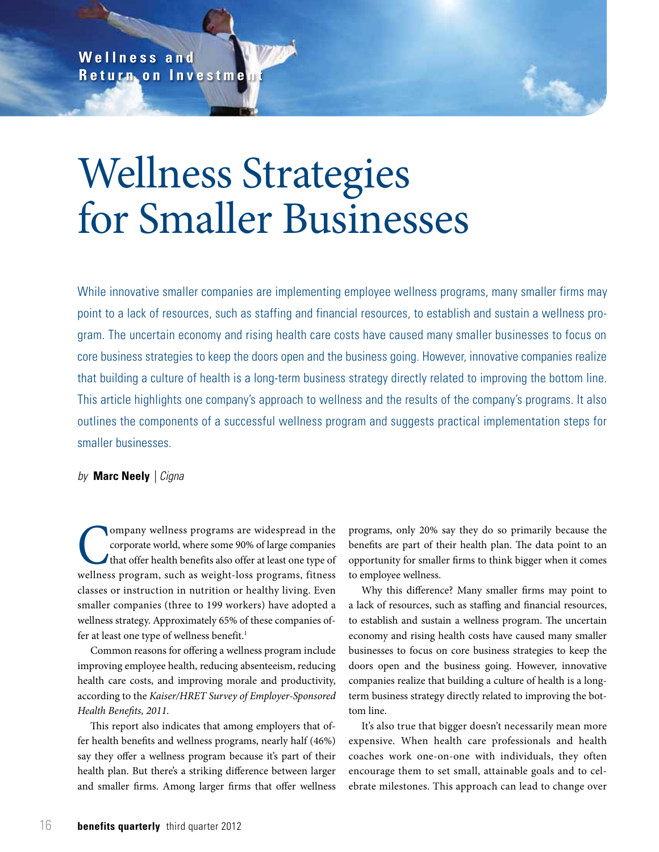**W e l l n e s s a n d Return on Investme** 

# Wellness Strategies for Smaller Businesses

While innovative smaller companies are implementing employee wellness programs, many smaller firms may point to a lack of resources, such as staffing and financial resources, to establish and sustain a wellness program. The uncertain economy and rising health care costs have caused many smaller businesses to focus on core business strategies to keep the doors open and the business going. However, innovative companies realize that building a culture of health is a long-term business strategy directly related to improving the bottom line. This article highlights one company's approach to wellness and the results of the company's programs. It also outlines the components of a successful wellness program and suggests practical implementation steps for smaller businesses.

# *by* **Marc Neely** *| Cigna*

Company wellness programs are widespread in the<br>corporate world, where some 90% of large companies<br>that offer health benefits also offer at least one type of<br>wellness program, such as weight-loss programs, fitness corporate world, where some 90% of large companies that offer health benefits also offer at least one type of wellness program, such as weight-loss programs, fitness classes or instruction in nutrition or healthy living. Even smaller companies (three to 199 workers) have adopted a wellness strategy. Approximately 65% of these companies offer at least one type of wellness benefit.<sup>1</sup>

Common reasons for offering a wellness program include improving employee health, reducing absenteeism, reducing health care costs, and improving morale and productivity, according to the *Kaiser/HRET Survey of Employer-Sponsored Health Benefits, 2011.*

This report also indicates that among employers that offer health benefits and wellness programs, nearly half (46%) say they offer a wellness program because it's part of their health plan. But there's a striking difference between larger and smaller firms. Among larger firms that offer wellness

programs, only 20% say they do so primarily because the benefits are part of their health plan. The data point to an opportunity for smaller firms to think bigger when it comes to employee wellness.

Why this difference? Many smaller firms may point to a lack of resources, such as staffing and financial resources, to establish and sustain a wellness program. The uncertain economy and rising health costs have caused many smaller businesses to focus on core business strategies to keep the doors open and the business going. However, innovative companies realize that building a culture of health is a longterm business strategy directly related to improving the bottom line.

It's also true that bigger doesn't necessarily mean more expensive. When health care professionals and health coaches work one-on-one with individuals, they often encourage them to set small, attainable goals and to celebrate milestones. This approach can lead to change over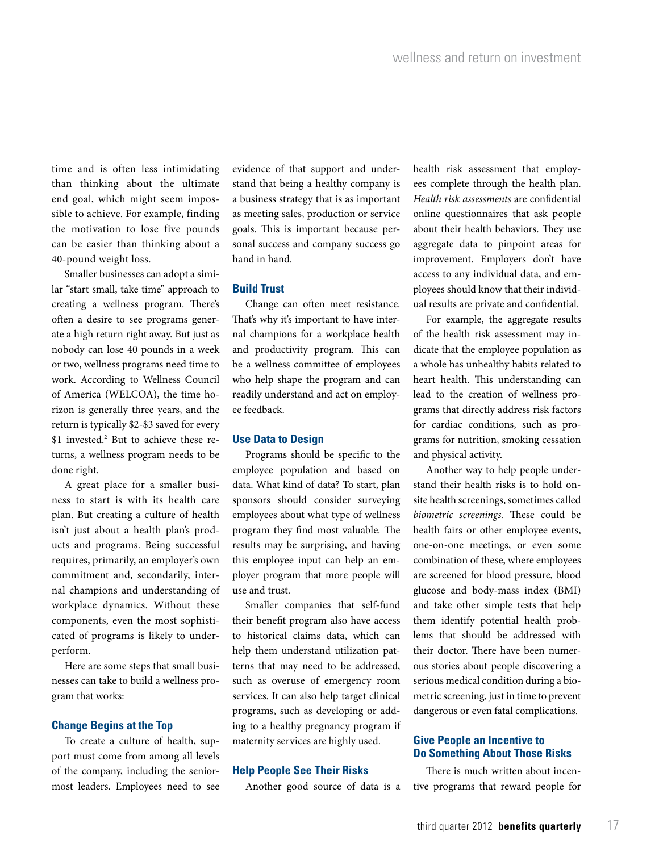time and is often less intimidating than thinking about the ultimate end goal, which might seem impossible to achieve. For example, finding the motivation to lose five pounds can be easier than thinking about a 40-pound weight loss.

Smaller businesses can adopt a similar "start small, take time" approach to creating a wellness program. There's often a desire to see programs generate a high return right away. But just as nobody can lose 40 pounds in a week or two, wellness programs need time to work. According to Wellness Council of America (WELCOA), the time horizon is generally three years, and the return is typically \$2-\$3 saved for every \$1 invested.2 But to achieve these returns, a wellness program needs to be done right.

A great place for a smaller business to start is with its health care plan. But creating a culture of health isn't just about a health plan's products and programs. Being successful requires, primarily, an employer's own commitment and, secondarily, internal champions and understanding of workplace dynamics. Without these components, even the most sophisticated of programs is likely to underperform.

Here are some steps that small businesses can take to build a wellness program that works:

## **Change Begins at the Top**

To create a culture of health, support must come from among all levels of the company, including the seniormost leaders. Employees need to see evidence of that support and understand that being a healthy company is a business strategy that is as important as meeting sales, production or service goals. This is important because personal success and company success go hand in hand.

#### **Build Trust**

Change can often meet resistance. That's why it's important to have internal champions for a workplace health and productivity program. This can be a wellness committee of employees who help shape the program and can readily understand and act on employee feedback.

## **Use Data to Design**

Programs should be specific to the employee population and based on data. What kind of data? To start, plan sponsors should consider surveying employees about what type of wellness program they find most valuable. The results may be surprising, and having this employee input can help an employer program that more people will use and trust.

Smaller companies that self-fund their benefit program also have access to historical claims data, which can help them understand utilization patterns that may need to be addressed, such as overuse of emergency room services. It can also help target clinical programs, such as developing or adding to a healthy pregnancy program if maternity services are highly used.

#### **Help People See Their Risks**

Another good source of data is a

health risk assessment that employees complete through the health plan. *Health risk assessments* are confidential online questionnaires that ask people about their health behaviors. They use aggregate data to pinpoint areas for improvement. Employers don't have access to any individual data, and employees should know that their individual results are private and confidential.

For example, the aggregate results of the health risk assessment may indicate that the employee population as a whole has unhealthy habits related to heart health. This understanding can lead to the creation of wellness programs that directly address risk factors for cardiac conditions, such as programs for nutrition, smoking cessation and physical activity.

Another way to help people understand their health risks is to hold onsite health screenings, sometimes called *biometric screenings.* These could be health fairs or other employee events, one-on-one meetings, or even some combination of these, where employees are screened for blood pressure, blood glucose and body-mass index (BMI) and take other simple tests that help them identify potential health problems that should be addressed with their doctor. There have been numerous stories about people discovering a serious medical condition during a biometric screening, just in time to prevent dangerous or even fatal complications.

## **Give People an Incentive to Do Something About Those Risks**

There is much written about incentive programs that reward people for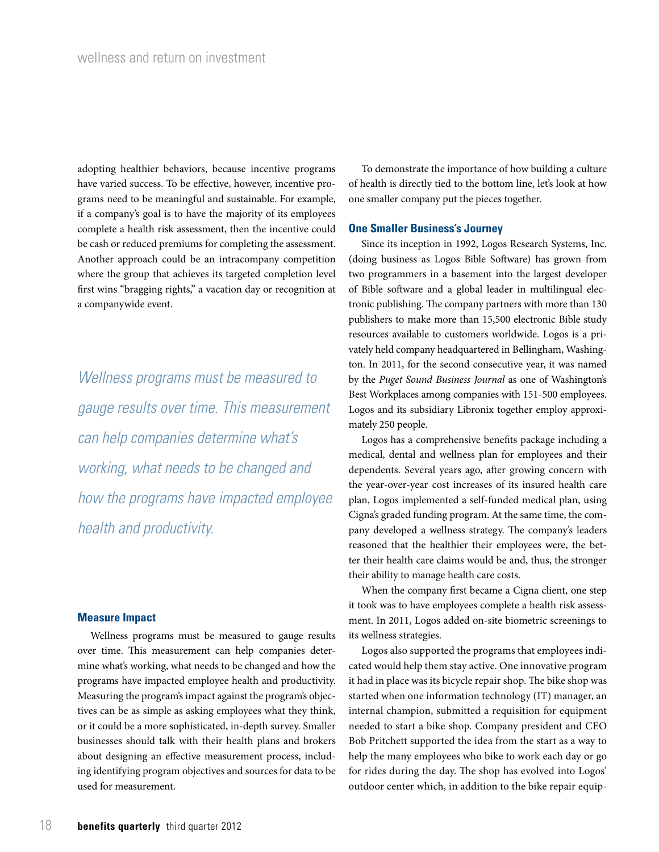adopting healthier behaviors, because incentive programs have varied success. To be effective, however, incentive programs need to be meaningful and sustainable. For example, if a company's goal is to have the majority of its employees complete a health risk assessment, then the incentive could be cash or reduced premiums for completing the assessment. Another approach could be an intracompany competition where the group that achieves its targeted completion level first wins "bragging rights," a vacation day or recognition at a companywide event.

*Wellness programs must be measured to gauge results over time. This measurement can help companies determine what's working, what needs to be changed and how the programs have impacted employee health and productivity.* 

#### **Measure Impact**

Wellness programs must be measured to gauge results over time. This measurement can help companies determine what's working, what needs to be changed and how the programs have impacted employee health and productivity. Measuring the program's impact against the program's objectives can be as simple as asking employees what they think, or it could be a more sophisticated, in-depth survey. Smaller businesses should talk with their health plans and brokers about designing an effective measurement process, including identifying program objectives and sources for data to be used for measurement.

To demonstrate the importance of how building a culture of health is directly tied to the bottom line, let's look at how one smaller company put the pieces together.

#### **One Smaller Business's Journey**

Since its inception in 1992, Logos Research Systems, Inc. (doing business as Logos Bible Software) has grown from two programmers in a basement into the largest developer of Bible software and a global leader in multilingual electronic publishing. The company partners with more than 130 publishers to make more than 15,500 electronic Bible study resources available to customers worldwide. Logos is a privately held company headquartered in Bellingham, Washington. In 2011, for the second consecutive year, it was named by the *Puget Sound Business Journal* as one of Washington's Best Workplaces among companies with 151-500 employees. Logos and its subsidiary Libronix together employ approximately 250 people.

Logos has a comprehensive benefits package including a medical, dental and wellness plan for employees and their dependents. Several years ago, after growing concern with the year-over-year cost increases of its insured health care plan, Logos implemented a self-funded medical plan, using Cigna's graded funding program. At the same time, the company developed a wellness strategy. The company's leaders reasoned that the healthier their employees were, the better their health care claims would be and, thus, the stronger their ability to manage health care costs.

When the company first became a Cigna client, one step it took was to have employees complete a health risk assessment. In 2011, Logos added on-site biometric screenings to its wellness strategies.

Logos also supported the programs that employees indicated would help them stay active. One innovative program it had in place was its bicycle repair shop. The bike shop was started when one information technology (IT) manager, an internal champion, submitted a requisition for equipment needed to start a bike shop. Company president and CEO Bob Pritchett supported the idea from the start as a way to help the many employees who bike to work each day or go for rides during the day. The shop has evolved into Logos' outdoor center which, in addition to the bike repair equip